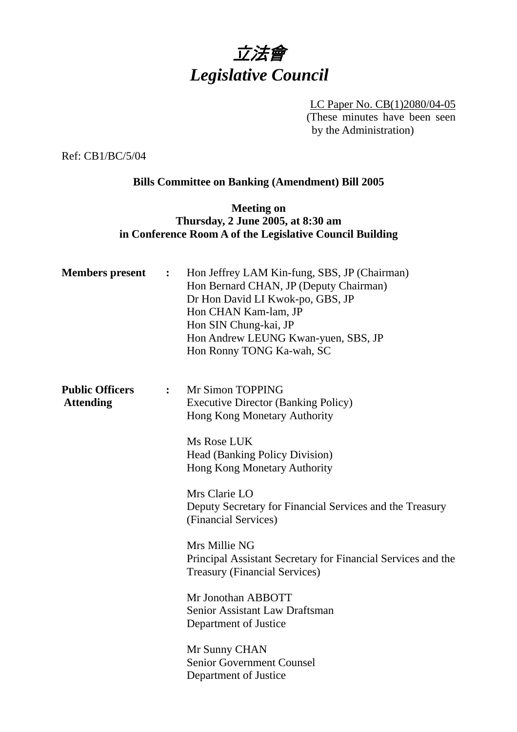

LC Paper No. CB(1)2080/04-05 (These minutes have been seen by the Administration)

Ref: CB1/BC/5/04

# **Bills Committee on Banking (Amendment) Bill 2005**

# **Meeting on Thursday, 2 June 2005, at 8:30 am in Conference Room A of the Legislative Council Building**

| <b>Members</b> present                     | $\ddot{\cdot}$ | Hon Jeffrey LAM Kin-fung, SBS, JP (Chairman)<br>Hon Bernard CHAN, JP (Deputy Chairman)<br>Dr Hon David LI Kwok-po, GBS, JP<br>Hon CHAN Kam-lam, JP<br>Hon SIN Chung-kai, JP<br>Hon Andrew LEUNG Kwan-yuen, SBS, JP<br>Hon Ronny TONG Ka-wah, SC |
|--------------------------------------------|----------------|-------------------------------------------------------------------------------------------------------------------------------------------------------------------------------------------------------------------------------------------------|
| <b>Public Officers</b><br><b>Attending</b> | $\ddot{\cdot}$ | Mr Simon TOPPING<br><b>Executive Director (Banking Policy)</b><br>Hong Kong Monetary Authority<br>Ms Rose LUK                                                                                                                                   |
|                                            |                | <b>Head (Banking Policy Division)</b><br>Hong Kong Monetary Authority                                                                                                                                                                           |
|                                            |                | Mrs Clarie LO<br>Deputy Secretary for Financial Services and the Treasury<br>(Financial Services)                                                                                                                                               |
|                                            |                | Mrs Millie NG<br>Principal Assistant Secretary for Financial Services and the<br><b>Treasury (Financial Services)</b>                                                                                                                           |
|                                            |                | Mr Jonothan ABBOTT<br>Senior Assistant Law Draftsman<br>Department of Justice                                                                                                                                                                   |
|                                            |                | Mr Sunny CHAN<br>Senior Government Counsel<br>Department of Justice                                                                                                                                                                             |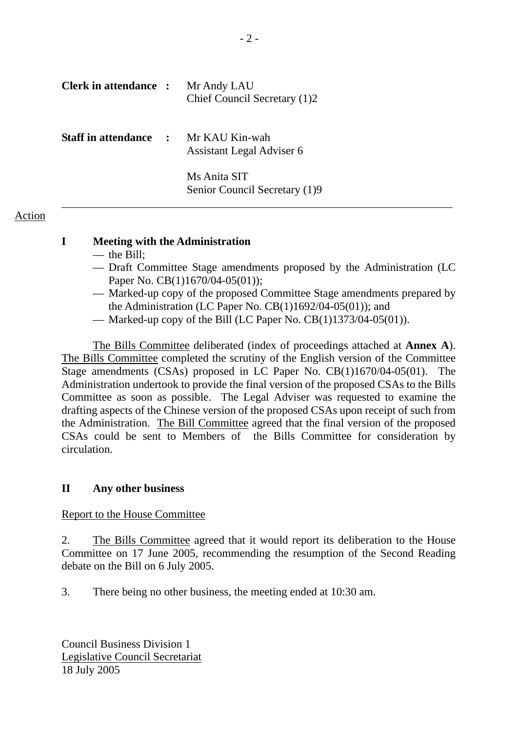| <b>Clerk in attendance :</b> |               | Mr Andy LAU<br>Chief Council Secretary (1)2   |
|------------------------------|---------------|-----------------------------------------------|
| <b>Staff in attendance</b>   | $\mathcal{L}$ | Mr KAU Kin-wah<br>Assistant Legal Adviser 6   |
|                              |               | Ms Anita SIT<br>Senior Council Secretary (1)9 |

# Action

# **I Meeting with the Administration**

- the Bill;
- Draft Committee Stage amendments proposed by the Administration (LC Paper No. CB(1)1670/04-05(01));
- Marked-up copy of the proposed Committee Stage amendments prepared by the Administration (LC Paper No. CB(1)1692/04-05(01)); and
- Marked-up copy of the Bill (LC Paper No.  $CB(1)1373/04-05(01)$ ).

 The Bills Committee deliberated (index of proceedings attached at **Annex A**). The Bills Committee completed the scrutiny of the English version of the Committee Stage amendments (CSAs) proposed in LC Paper No. CB(1)1670/04-05(01). The Administration undertook to provide the final version of the proposed CSAs to the Bills Committee as soon as possible. The Legal Adviser was requested to examine the drafting aspects of the Chinese version of the proposed CSAs upon receipt of such from the Administration. The Bill Committee agreed that the final version of the proposed CSAs could be sent to Members of the Bills Committee for consideration by circulation.

# **II Any other business**

# Report to the House Committee

2. The Bills Committee agreed that it would report its deliberation to the House Committee on 17 June 2005, recommending the resumption of the Second Reading debate on the Bill on 6 July 2005.

3. There being no other business, the meeting ended at 10:30 am.

Council Business Division 1 Legislative Council Secretariat 18 July 2005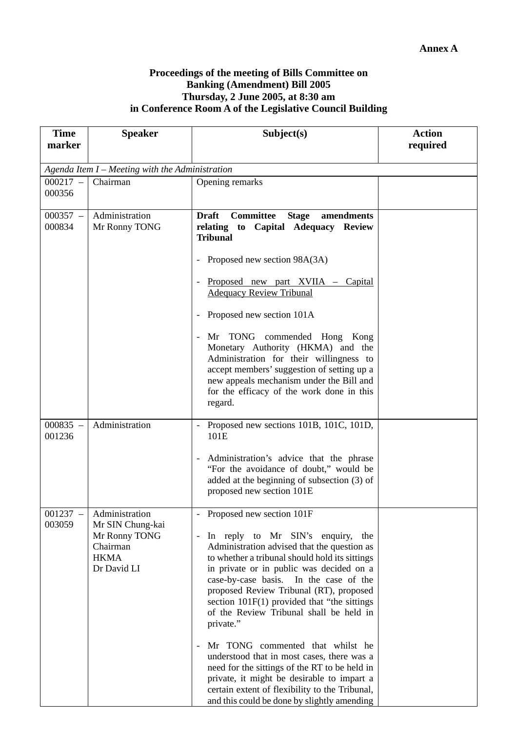#### **Proceedings of the meeting of Bills Committee on Banking (Amendment) Bill 2005 Thursday, 2 June 2005, at 8:30 am in Conference Room A of the Legislative Council Building**

| <b>Time</b><br>marker | <b>Speaker</b>                                                                                | Subject(s)                                                                                                                                                                                                                                                                                                                                                                                                                                                                                                                                                                                                                                                                                                               | <b>Action</b><br>required |
|-----------------------|-----------------------------------------------------------------------------------------------|--------------------------------------------------------------------------------------------------------------------------------------------------------------------------------------------------------------------------------------------------------------------------------------------------------------------------------------------------------------------------------------------------------------------------------------------------------------------------------------------------------------------------------------------------------------------------------------------------------------------------------------------------------------------------------------------------------------------------|---------------------------|
|                       | Agenda Item I - Meeting with the Administration                                               |                                                                                                                                                                                                                                                                                                                                                                                                                                                                                                                                                                                                                                                                                                                          |                           |
| $000217 -$<br>000356  | Chairman                                                                                      | Opening remarks                                                                                                                                                                                                                                                                                                                                                                                                                                                                                                                                                                                                                                                                                                          |                           |
| $000357 -$<br>000834  | Administration<br>Mr Ronny TONG                                                               | <b>Committee</b><br><b>Draft</b><br><b>Stage</b><br>amendments<br>relating to Capital Adequacy Review<br><b>Tribunal</b><br>Proposed new section 98A(3A)<br>Proposed new part XVIIA – Capital<br>$\overline{\phantom{a}}$<br><b>Adequacy Review Tribunal</b><br>Proposed new section 101A<br>$\overline{\phantom{a}}$<br>Mr TONG commended Hong Kong<br>$\overline{\phantom{a}}$<br>Monetary Authority (HKMA) and the<br>Administration for their willingness to<br>accept members' suggestion of setting up a<br>new appeals mechanism under the Bill and<br>for the efficacy of the work done in this<br>regard.                                                                                                       |                           |
| $000835 -$<br>001236  | Administration                                                                                | Proposed new sections 101B, 101C, 101D,<br>101E<br>- Administration's advice that the phrase<br>"For the avoidance of doubt," would be<br>added at the beginning of subsection (3) of<br>proposed new section 101E                                                                                                                                                                                                                                                                                                                                                                                                                                                                                                       |                           |
| 001237<br>003059      | Administration<br>Mr SIN Chung-kai<br>Mr Ronny TONG<br>Chairman<br><b>HKMA</b><br>Dr David LI | Proposed new section 101F<br>In reply to Mr SIN's enquiry, the<br>$\overline{\phantom{0}}$<br>Administration advised that the question as<br>to whether a tribunal should hold its sittings<br>in private or in public was decided on a<br>case-by-case basis. In the case of the<br>proposed Review Tribunal (RT), proposed<br>section $101F(1)$ provided that "the sittings"<br>of the Review Tribunal shall be held in<br>private."<br>Mr TONG commented that whilst he<br>understood that in most cases, there was a<br>need for the sittings of the RT to be held in<br>private, it might be desirable to impart a<br>certain extent of flexibility to the Tribunal,<br>and this could be done by slightly amending |                           |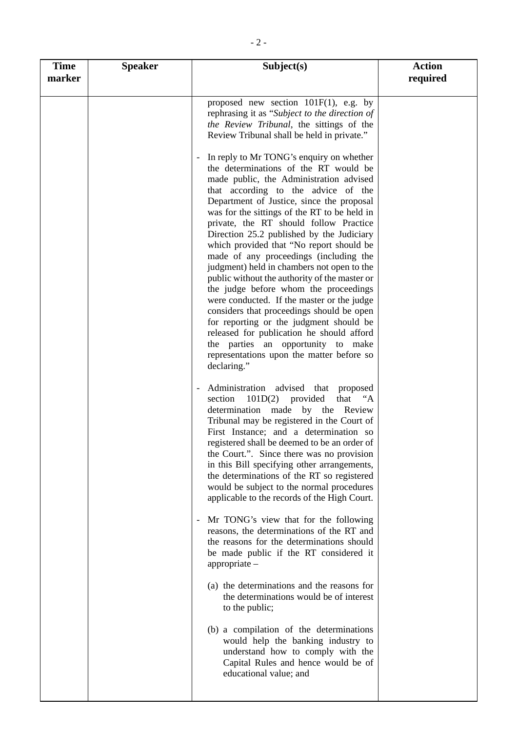| <b>Time</b><br>marker | <b>Speaker</b> | Subject(s)                                                                                                                                                                                                                                                                                                                                                                                                                                                                                                                                                                                                                                                                                                                                                                                                                                                                                                                                                                                                                                         | <b>Action</b> |
|-----------------------|----------------|----------------------------------------------------------------------------------------------------------------------------------------------------------------------------------------------------------------------------------------------------------------------------------------------------------------------------------------------------------------------------------------------------------------------------------------------------------------------------------------------------------------------------------------------------------------------------------------------------------------------------------------------------------------------------------------------------------------------------------------------------------------------------------------------------------------------------------------------------------------------------------------------------------------------------------------------------------------------------------------------------------------------------------------------------|---------------|
|                       |                | proposed new section $101F(1)$ , e.g. by<br>rephrasing it as "Subject to the direction of<br>the Review Tribunal, the sittings of the<br>Review Tribunal shall be held in private."<br>In reply to Mr TONG's enquiry on whether<br>the determinations of the RT would be<br>made public, the Administration advised<br>that according to the advice of the<br>Department of Justice, since the proposal<br>was for the sittings of the RT to be held in<br>private, the RT should follow Practice<br>Direction 25.2 published by the Judiciary<br>which provided that "No report should be<br>made of any proceedings (including the<br>judgment) held in chambers not open to the<br>public without the authority of the master or<br>the judge before whom the proceedings<br>were conducted. If the master or the judge<br>considers that proceedings should be open<br>for reporting or the judgment should be<br>released for publication he should afford<br>the parties an opportunity to make<br>representations upon the matter before so | required      |
|                       |                | declaring."<br>Administration advised that proposed<br>101D(2)<br>provided<br>that "A<br>section<br>determination made by the Review<br>Tribunal may be registered in the Court of<br>First Instance; and a determination so<br>registered shall be deemed to be an order of<br>the Court.". Since there was no provision<br>in this Bill specifying other arrangements,<br>the determinations of the RT so registered<br>would be subject to the normal procedures<br>applicable to the records of the High Court.<br>Mr TONG's view that for the following<br>reasons, the determinations of the RT and<br>the reasons for the determinations should<br>be made public if the RT considered it<br>$appropriate -$<br>(a) the determinations and the reasons for<br>the determinations would be of interest<br>to the public;<br>(b) a compilation of the determinations<br>would help the banking industry to<br>understand how to comply with the<br>Capital Rules and hence would be of<br>educational value; and                              |               |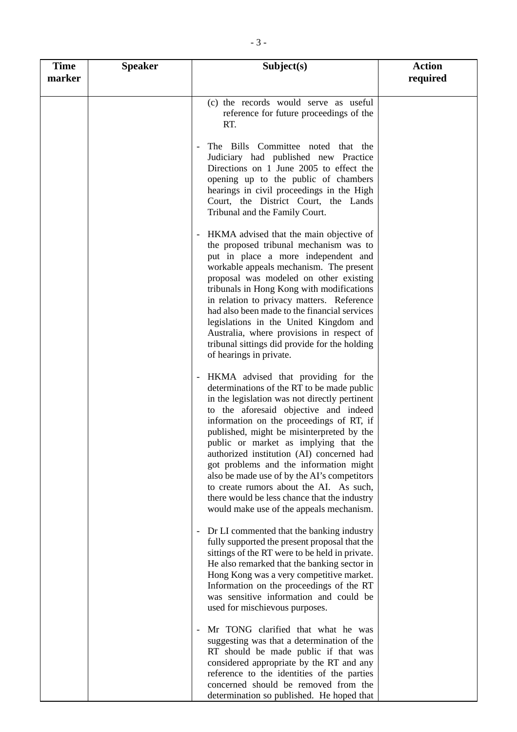| <b>Time</b><br>marker | <b>Speaker</b> | Subject(s)                                                                                                                                                                                                                                                                                                                                                                                                                                                                                                                                                                                 | <b>Action</b><br>required |
|-----------------------|----------------|--------------------------------------------------------------------------------------------------------------------------------------------------------------------------------------------------------------------------------------------------------------------------------------------------------------------------------------------------------------------------------------------------------------------------------------------------------------------------------------------------------------------------------------------------------------------------------------------|---------------------------|
|                       |                | (c) the records would serve as useful<br>reference for future proceedings of the<br>RT.                                                                                                                                                                                                                                                                                                                                                                                                                                                                                                    |                           |
|                       |                | The Bills Committee noted that the<br>Judiciary had published new Practice<br>Directions on 1 June 2005 to effect the<br>opening up to the public of chambers<br>hearings in civil proceedings in the High<br>Court, the District Court, the Lands<br>Tribunal and the Family Court.                                                                                                                                                                                                                                                                                                       |                           |
|                       |                | HKMA advised that the main objective of<br>$\overline{\phantom{a}}$<br>the proposed tribunal mechanism was to<br>put in place a more independent and<br>workable appeals mechanism. The present<br>proposal was modeled on other existing<br>tribunals in Hong Kong with modifications<br>in relation to privacy matters. Reference<br>had also been made to the financial services<br>legislations in the United Kingdom and<br>Australia, where provisions in respect of<br>tribunal sittings did provide for the holding<br>of hearings in private.                                     |                           |
|                       |                | HKMA advised that providing for the<br>determinations of the RT to be made public<br>in the legislation was not directly pertinent<br>to the aforesaid objective and indeed<br>information on the proceedings of RT, if<br>published, might be misinterpreted by the<br>public or market as implying that the<br>authorized institution (AI) concerned had<br>got problems and the information might<br>also be made use of by the AI's competitors<br>to create rumors about the AI. As such,<br>there would be less chance that the industry<br>would make use of the appeals mechanism. |                           |
|                       |                | Dr LI commented that the banking industry<br>$\overline{\phantom{a}}$<br>fully supported the present proposal that the<br>sittings of the RT were to be held in private.<br>He also remarked that the banking sector in<br>Hong Kong was a very competitive market.<br>Information on the proceedings of the RT<br>was sensitive information and could be<br>used for mischievous purposes.                                                                                                                                                                                                |                           |
|                       |                | Mr TONG clarified that what he was<br>suggesting was that a determination of the<br>RT should be made public if that was<br>considered appropriate by the RT and any<br>reference to the identities of the parties<br>concerned should be removed from the<br>determination so published. He hoped that                                                                                                                                                                                                                                                                                    |                           |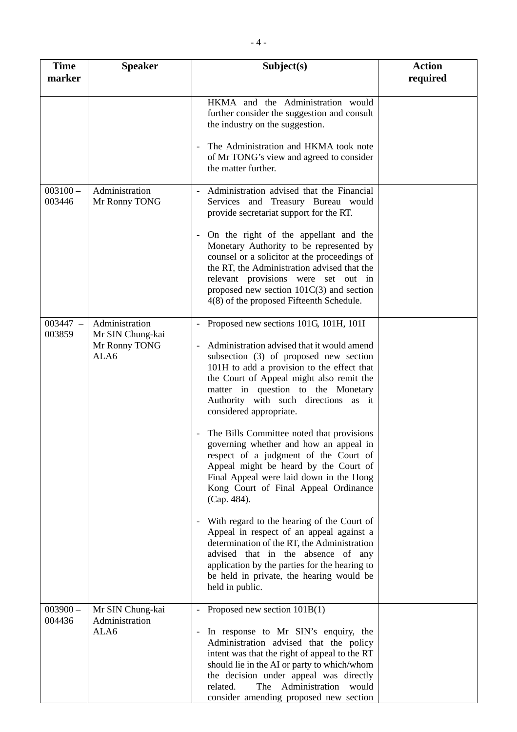| <b>Time</b><br>marker | <b>Speaker</b>                                              | Subject(s)                                                                                                                                                                                                                                                                                                                                                                                                                                                                                                                                                                                                                                                                                                                                                                                                                                                                                                                              | <b>Action</b><br>required |
|-----------------------|-------------------------------------------------------------|-----------------------------------------------------------------------------------------------------------------------------------------------------------------------------------------------------------------------------------------------------------------------------------------------------------------------------------------------------------------------------------------------------------------------------------------------------------------------------------------------------------------------------------------------------------------------------------------------------------------------------------------------------------------------------------------------------------------------------------------------------------------------------------------------------------------------------------------------------------------------------------------------------------------------------------------|---------------------------|
|                       |                                                             | HKMA and the Administration would<br>further consider the suggestion and consult<br>the industry on the suggestion.<br>The Administration and HKMA took note<br>of Mr TONG's view and agreed to consider<br>the matter further.                                                                                                                                                                                                                                                                                                                                                                                                                                                                                                                                                                                                                                                                                                         |                           |
| $003100 -$<br>003446  | Administration<br>Mr Ronny TONG                             | Administration advised that the Financial<br>Services and Treasury Bureau would<br>provide secretariat support for the RT.<br>On the right of the appellant and the<br>Monetary Authority to be represented by<br>counsel or a solicitor at the proceedings of<br>the RT, the Administration advised that the<br>relevant provisions were set out in<br>proposed new section $101C(3)$ and section<br>4(8) of the proposed Fifteenth Schedule.                                                                                                                                                                                                                                                                                                                                                                                                                                                                                          |                           |
| $003447 -$<br>003859  | Administration<br>Mr SIN Chung-kai<br>Mr Ronny TONG<br>ALA6 | Proposed new sections 101G, 101H, 101I<br>Administration advised that it would amend<br>subsection (3) of proposed new section<br>101H to add a provision to the effect that<br>the Court of Appeal might also remit the<br>matter in question to the Monetary<br>Authority with such directions as it<br>considered appropriate.<br>The Bills Committee noted that provisions<br>governing whether and how an appeal in<br>respect of a judgment of the Court of<br>Appeal might be heard by the Court of<br>Final Appeal were laid down in the Hong<br>Kong Court of Final Appeal Ordinance<br>(Cap. 484).<br>With regard to the hearing of the Court of<br>$\overline{\phantom{a}}$<br>Appeal in respect of an appeal against a<br>determination of the RT, the Administration<br>advised that in the absence of any<br>application by the parties for the hearing to<br>be held in private, the hearing would be<br>held in public. |                           |
| $003900 -$<br>004436  | Mr SIN Chung-kai<br>Administration<br>ALA6                  | Proposed new section 101B(1)<br>In response to Mr SIN's enquiry, the<br>$\overline{\phantom{a}}$<br>Administration advised that the policy<br>intent was that the right of appeal to the RT<br>should lie in the AI or party to which/whom<br>the decision under appeal was directly<br>Administration<br>related.<br>The<br>would<br>consider amending proposed new section                                                                                                                                                                                                                                                                                                                                                                                                                                                                                                                                                            |                           |